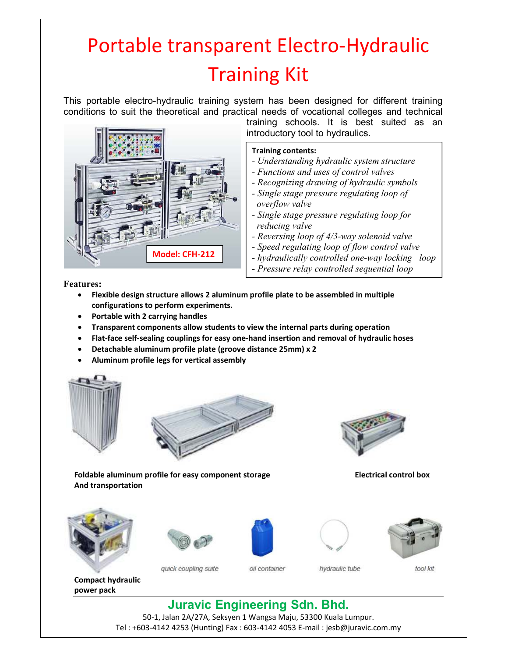## Portable transparent Electro-Hydraulic Training Kit

This portable electro-hydraulic training system has been designed for different training conditions to suit the theoretical and practical needs of vocational colleges and technical



training schools. It is best suited as an introductory tool to hydraulics.

## **Training contents:**

- *Understanding hydraulic system structure*
- *Functions and uses of control valves*
- *Recognizing drawing of hydraulic symbols*
- *Single stage pressure regulating loop of overflow valve*
- *Single stage pressure regulating loop for reducing valve*
- *Reversing loop of 4/3-way solenoid valve*
- *Speed regulating loop of flow control valve*
- *hydraulically controlled one-way locking loop*
- *Pressure relay controlled sequential loop*

**Features:** 

- **Flexible design structure allows 2 aluminum profile plate to be assembled in multiple configurations to perform experiments.**
- **Portable with 2 carrying handles**
- **Transparent components allow students to view the internal parts during operation**
- **Flat-face self-sealing couplings for easy one-hand insertion and removal of hydraulic hoses**
- **Detachable aluminum profile plate (groove distance 25mm) x 2**
- **Aluminum profile legs for vertical assembly**





Foldable aluminum profile for easy component storage **Electrical control box And transportation** 







quick coupling suite



oil container



hydraulic tube



tool kit

**Compact hydraulic power pack** 

**Juravic Engineering Sdn. Bhd.** 50-1, Jalan 2A/27A, Seksyen 1 Wangsa Maju, 53300 Kuala Lumpur.

Tel : +603-4142 4253 (Hunting) Fax : 603-4142 4053 E-mail : jesb@juravic.com.my